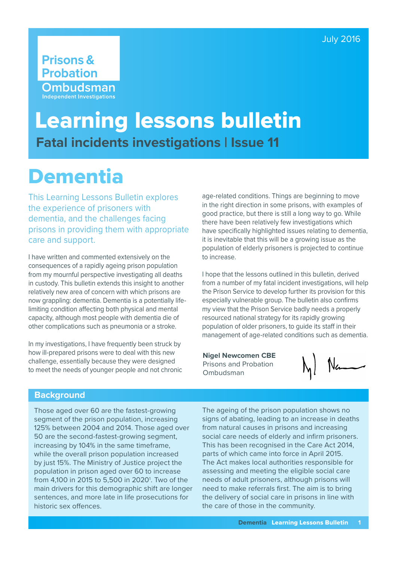# **Prisons & Probation** Ombudsman **Independent Investigations**

# Learning lessons bulletin **Fatal incidents investigations | Issue 11**

# **Dementia**

This Learning Lessons Bulletin explores the experience of prisoners with dementia, and the challenges facing prisons in providing them with appropriate care and support.

I have written and commented extensively on the consequences of a rapidly ageing prison population from my mournful perspective investigating all deaths in custody. This bulletin extends this insight to another relatively new area of concern with which prisons are now grappling: dementia. Dementia is a potentially lifelimiting condition affecting both physical and mental capacity, although most people with dementia die of other complications such as pneumonia or a stroke.

In my investigations, I have frequently been struck by how ill-prepared prisons were to deal with this new challenge, essentially because they were designed to meet the needs of younger people and not chronic

age-related conditions. Things are beginning to move in the right direction in some prisons, with examples of good practice, but there is still a long way to go. While there have been relatively few investigations which have specifically highlighted issues relating to dementia, it is inevitable that this will be a growing issue as the population of elderly prisoners is projected to continue to increase.

I hope that the lessons outlined in this bulletin, derived from a number of my fatal incident investigations, will help the Prison Service to develop further its provision for this especially vulnerable group. The bulletin also confirms my view that the Prison Service badly needs a properly resourced national strategy for its rapidly growing population of older prisoners, to guide its staff in their management of age-related conditions such as dementia.

**Nigel Newcomen CBE** Prisons and Probation Ombudsman

 $N_{\text{th}}$ 

## **Background**

Those aged over 60 are the fastest-growing segment of the prison population, increasing 125% between 2004 and 2014. Those aged over 50 are the second-fastest-growing segment, increasing by 104% in the same timeframe, while the overall prison population increased by just 15%. The Ministry of Justice project the population in prison aged over 60 to increase from 4,100 in 2015 to 5,500 in 2020<sup>1</sup>. Two of the main drivers for this demographic shift are longer sentences, and more late in life prosecutions for historic sex offences.

The ageing of the prison population shows no signs of abating, leading to an increase in deaths from natural causes in prisons and increasing social care needs of elderly and infirm prisoners. This has been recognised in the Care Act 2014, parts of which came into force in April 2015. The Act makes local authorities responsible for assessing and meeting the eligible social care needs of adult prisoners, although prisons will need to make referrals first. The aim is to bring the delivery of social care in prisons in line with the care of those in the community.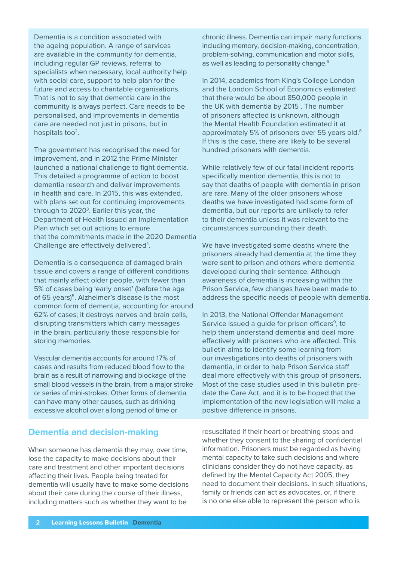Dementia is a condition associated with the ageing population. A range of services are available in the community for dementia, including regular GP reviews, referral to specialists when necessary, local authority help with social care, support to help plan for the future and access to charitable organisations. That is not to say that dementia care in the community is always perfect. Care needs to be personalised, and improvements in dementia care are needed not just in prisons, but in hospitals too<sup>2</sup>.

The government has recognised the need for improvement, and in 2012 the Prime Minister launched a national challenge to fight dementia. This detailed a programme of action to boost dementia research and deliver improvements in health and care. In 2015, this was extended, with plans set out for continuing improvements through to 2020<sup>3</sup>. Earlier this year, the Department of Health issued an Implementation Plan which set out actions to ensure that the commitments made in the 2020 Dementia Challenge are effectively delivered<sup>4</sup>.

Dementia is a consequence of damaged brain tissue and covers a range of different conditions that mainly affect older people, with fewer than 5% of cases being 'early onset' (before the age of 65 years)<sup>5</sup>. Alzheimer's disease is the most common form of dementia, accounting for around 62% of cases; it destroys nerves and brain cells, disrupting transmitters which carry messages in the brain, particularly those responsible for storing memories.

Vascular dementia accounts for around 17% of cases and results from reduced blood flow to the brain as a result of narrowing and blockage of the small blood vessels in the brain, from a major stroke or series of mini-strokes. Other forms of dementia can have many other causes, such as drinking excessive alcohol over a long period of time or

# **Dementia and decision-making**

When someone has dementia they may, over time, lose the capacity to make decisions about their care and treatment and other important decisions affecting their lives. People being treated for dementia will usually have to make some decisions about their care during the course of their illness, including matters such as whether they want to be

chronic illness. Dementia can impair many functions including memory, decision-making, concentration, problem-solving, communication and motor skills, as well as leading to personality change.<sup>6</sup>

In 2014, academics from King's College London and the London School of Economics estimated that there would be about 850,000 people in the UK with dementia by 2015 . The number of prisoners affected is unknown, although the Mental Health Foundation estimated it at approximately 5% of prisoners over 55 years old.<sup>8</sup> If this is the case, there are likely to be several hundred prisoners with dementia.

While relatively few of our fatal incident reports specifically mention dementia, this is not to say that deaths of people with dementia in prison are rare. Many of the older prisoners whose deaths we have investigated had some form of dementia, but our reports are unlikely to refer to their dementia unless it was relevant to the circumstances surrounding their death.

We have investigated some deaths where the prisoners already had dementia at the time they were sent to prison and others where dementia developed during their sentence. Although awareness of dementia is increasing within the Prison Service, few changes have been made to address the specific needs of people with dementia.

In 2013, the National Offender Management Service issued a quide for prison officers<sup>9</sup>, to help them understand dementia and deal more effectively with prisoners who are affected. This bulletin aims to identify some learning from our investigations into deaths of prisoners with dementia, in order to help Prison Service staff deal more effectively with this group of prisoners. Most of the case studies used in this bulletin predate the Care Act, and it is to be hoped that the implementation of the new legislation will make a positive difference in prisons.

resuscitated if their heart or breathing stops and whether they consent to the sharing of confidential information. Prisoners must be regarded as having mental capacity to take such decisions and where clinicians consider they do not have capacity, as defined by the Mental Capacity Act 2005, they need to document their decisions. In such situations, family or friends can act as advocates, or, if there is no one else able to represent the person who is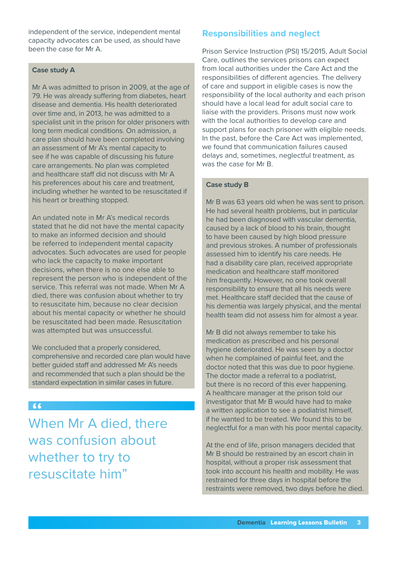independent of the service, independent mental capacity advocates can be used, as should have been the case for Mr A.

### **Case study A**

Mr A was admitted to prison in 2009, at the age of 79. He was already suffering from diabetes, heart disease and dementia. His health deteriorated over time and, in 2013, he was admitted to a specialist unit in the prison for older prisoners with long term medical conditions. On admission, a care plan should have been completed involving an assessment of Mr A's mental capacity to see if he was capable of discussing his future care arrangements. No plan was completed and healthcare staff did not discuss with Mr A his preferences about his care and treatment, including whether he wanted to be resuscitated if his heart or breathing stopped.

An undated note in Mr A's medical records stated that he did not have the mental capacity to make an informed decision and should be referred to independent mental capacity advocates. Such advocates are used for people who lack the capacity to make important decisions, when there is no one else able to represent the person who is independent of the service. This referral was not made. When Mr A died, there was confusion about whether to try to resuscitate him, because no clear decision about his mental capacity or whether he should be resuscitated had been made. Resuscitation was attempted but was unsuccessful.

We concluded that a properly considered, comprehensive and recorded care plan would have better guided staff and addressed Mr A's needs and recommended that such a plan should be the standard expectation in similar cases in future.

### $66$

When Mr A died, there was confusion about whether to try to resuscitate him"

# **Responsibilities and neglect**

Prison Service Instruction (PSI) 15/2015, Adult Social Care, outlines the services prisons can expect from local authorities under the Care Act and the responsibilities of different agencies. The delivery of care and support in eligible cases is now the responsibility of the local authority and each prison should have a local lead for adult social care to liaise with the providers. Prisons must now work with the local authorities to develop care and support plans for each prisoner with eligible needs. In the past, before the Care Act was implemented, we found that communication failures caused delays and, sometimes, neglectful treatment, as was the case for Mr B.

#### **Case study B**

Mr B was 63 years old when he was sent to prison. He had several health problems, but in particular he had been diagnosed with vascular dementia, caused by a lack of blood to his brain, thought to have been caused by high blood pressure and previous strokes. A number of professionals assessed him to identify his care needs. He had a disability care plan, received appropriate medication and healthcare staff monitored him frequently. However, no one took overall responsibility to ensure that all his needs were met. Healthcare staff decided that the cause of his dementia was largely physical, and the mental health team did not assess him for almost a year.

Mr B did not always remember to take his medication as prescribed and his personal hygiene deteriorated. He was seen by a doctor when he complained of painful feet, and the doctor noted that this was due to poor hygiene. The doctor made a referral to a podiatrist, but there is no record of this ever happening. A healthcare manager at the prison told our investigator that Mr B would have had to make a written application to see a podiatrist himself, if he wanted to be treated. We found this to be neglectful for a man with his poor mental capacity.

At the end of life, prison managers decided that Mr B should be restrained by an escort chain in hospital, without a proper risk assessment that took into account his health and mobility. He was restrained for three days in hospital before the restraints were removed, two days before he died.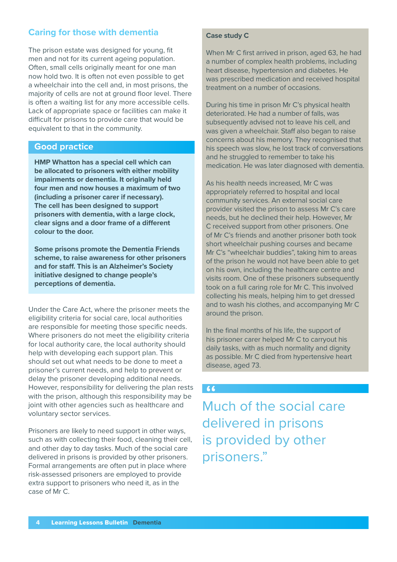# **Caring for those with dementia**

The prison estate was designed for young, fit men and not for its current ageing population. Often, small cells originally meant for one man now hold two. It is often not even possible to get a wheelchair into the cell and, in most prisons, the majority of cells are not at ground floor level. There is often a waiting list for any more accessible cells. Lack of appropriate space or facilities can make it difficult for prisons to provide care that would be equivalent to that in the community.

## **Good practice**

**HMP Whatton has a special cell which can be allocated to prisoners with either mobility impairments or dementia. It originally held four men and now houses a maximum of two (including a prisoner carer if necessary). The cell has been designed to support prisoners with dementia, with a large clock, clear signs and a door frame of a different colour to the door.** 

**Some prisons promote the Dementia Friends scheme, to raise awareness for other prisoners and for staff. This is an Alzheimer's Society initiative designed to change people's perceptions of dementia.**

Under the Care Act, where the prisoner meets the eligibility criteria for social care, local authorities are responsible for meeting those specific needs. Where prisoners do not meet the eligibility criteria for local authority care, the local authority should help with developing each support plan. This should set out what needs to be done to meet a prisoner's current needs, and help to prevent or delay the prisoner developing additional needs. However, responsibility for delivering the plan rests with the prison, although this responsibility may be joint with other agencies such as healthcare and voluntary sector services.

Prisoners are likely to need support in other ways, such as with collecting their food, cleaning their cell, and other day to day tasks. Much of the social care delivered in prisons is provided by other prisoners. Formal arrangements are often put in place where risk-assessed prisoners are employed to provide extra support to prisoners who need it, as in the case of Mr C.

#### **Case study C**

When Mr C first arrived in prison, aged 63, he had a number of complex health problems, including heart disease, hypertension and diabetes. He was prescribed medication and received hospital treatment on a number of occasions.

During his time in prison Mr C's physical health deteriorated. He had a number of falls, was subsequently advised not to leave his cell, and was given a wheelchair. Staff also began to raise concerns about his memory. They recognised that his speech was slow, he lost track of conversations and he struggled to remember to take his medication. He was later diagnosed with dementia.

As his health needs increased, Mr C was appropriately referred to hospital and local community services. An external social care provider visited the prison to assess Mr C's care needs, but he declined their help. However, Mr C received support from other prisoners. One of Mr C's friends and another prisoner both took short wheelchair pushing courses and became Mr C's "wheelchair buddies", taking him to areas of the prison he would not have been able to get on his own, including the healthcare centre and visits room. One of these prisoners subsequently took on a full caring role for Mr C. This involved collecting his meals, helping him to get dressed and to wash his clothes, and accompanying Mr C around the prison.

In the final months of his life, the support of his prisoner carer helped Mr C to carryout his daily tasks, with as much normality and dignity as possible. Mr C died from hypertensive heart disease, aged 73.

#### $66$

Much of the social care delivered in prisons is provided by other prisoners."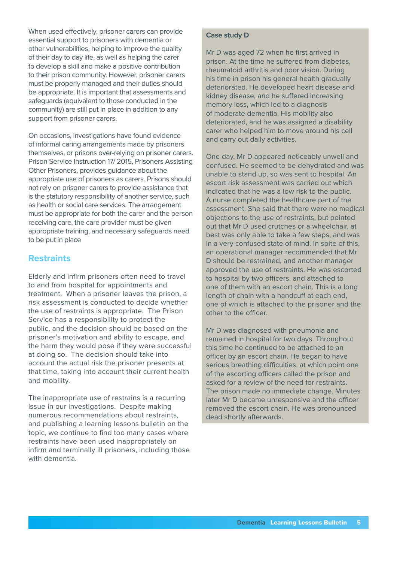When used effectively, prisoner carers can provide essential support to prisoners with dementia or other vulnerabilities, helping to improve the quality of their day to day life, as well as helping the carer to develop a skill and make a positive contribution to their prison community. However, prisoner carers must be properly managed and their duties should be appropriate. It is important that assessments and safeguards (equivalent to those conducted in the community) are still put in place in addition to any support from prisoner carers.

On occasions, investigations have found evidence of informal caring arrangements made by prisoners themselves, or prisons over-relying on prisoner carers. Prison Service Instruction 17/ 2015, Prisoners Assisting Other Prisoners, provides guidance about the appropriate use of prisoners as carers. Prisons should not rely on prisoner carers to provide assistance that is the statutory responsibility of another service, such as health or social care services. The arrangement must be appropriate for both the carer and the person receiving care, the care provider must be given appropriate training, and necessary safeguards need to be put in place

# **Restraints**

Elderly and infirm prisoners often need to travel to and from hospital for appointments and treatment. When a prisoner leaves the prison, a risk assessment is conducted to decide whether the use of restraints is appropriate. The Prison Service has a responsibility to protect the public, and the decision should be based on the prisoner's motivation and ability to escape, and the harm they would pose if they were successful at doing so. The decision should take into account the actual risk the prisoner presents at that time, taking into account their current health and mobility.

The inappropriate use of restrains is a recurring issue in our investigations. Despite making numerous recommendations about restraints, and publishing a learning lessons bulletin on the topic, we continue to find too many cases where restraints have been used inappropriately on infirm and terminally ill prisoners, including those with dementia.

#### **Case study D**

Mr D was aged 72 when he first arrived in prison. At the time he suffered from diabetes, rheumatoid arthritis and poor vision. During his time in prison his general health gradually deteriorated. He developed heart disease and kidney disease, and he suffered increasing memory loss, which led to a diagnosis of moderate dementia. His mobility also deteriorated, and he was assigned a disability carer who helped him to move around his cell and carry out daily activities.

One day, Mr D appeared noticeably unwell and confused. He seemed to be dehydrated and was unable to stand up, so was sent to hospital. An escort risk assessment was carried out which indicated that he was a low risk to the public. A nurse completed the healthcare part of the assessment. She said that there were no medical objections to the use of restraints, but pointed out that Mr D used crutches or a wheelchair, at best was only able to take a few steps, and was in a very confused state of mind. In spite of this, an operational manager recommended that Mr D should be restrained, and another manager approved the use of restraints. He was escorted to hospital by two officers, and attached to one of them with an escort chain. This is a long length of chain with a handcuff at each end, one of which is attached to the prisoner and the other to the officer.

Mr D was diagnosed with pneumonia and remained in hospital for two days. Throughout this time he continued to be attached to an officer by an escort chain. He began to have serious breathing difficulties, at which point one of the escorting officers called the prison and asked for a review of the need for restraints. The prison made no immediate change. Minutes later Mr D became unresponsive and the officer removed the escort chain. He was pronounced dead shortly afterwards.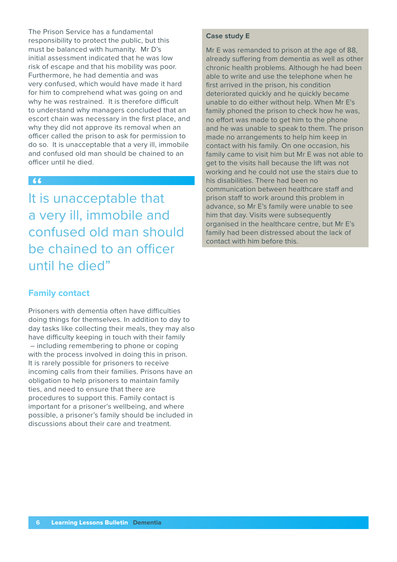The Prison Service has a fundamental responsibility to protect the public, but this must be balanced with humanity. Mr D's initial assessment indicated that he was low risk of escape and that his mobility was poor. Furthermore, he had dementia and was very confused, which would have made it hard for him to comprehend what was going on and why he was restrained. It is therefore difficult to understand why managers concluded that an escort chain was necessary in the first place, and why they did not approve its removal when an officer called the prison to ask for permission to do so. It is unacceptable that a very ill, immobile and confused old man should be chained to an officer until he died.

# $66$

It is unacceptable that a very ill, immobile and confused old man should be chained to an officer until he died"

# **Family contact**

Prisoners with dementia often have difficulties doing things for themselves. In addition to day to day tasks like collecting their meals, they may also have difficulty keeping in touch with their family – including remembering to phone or coping with the process involved in doing this in prison. It is rarely possible for prisoners to receive incoming calls from their families. Prisons have an obligation to help prisoners to maintain family ties, and need to ensure that there are procedures to support this. Family contact is important for a prisoner's wellbeing, and where possible, a prisoner's family should be included in discussions about their care and treatment.

#### **Case study E**

Mr E was remanded to prison at the age of 88. already suffering from dementia as well as other chronic health problems. Although he had been able to write and use the telephone when he first arrived in the prison, his condition deteriorated quickly and he quickly became unable to do either without help. When Mr E's family phoned the prison to check how he was, no effort was made to get him to the phone and he was unable to speak to them. The prison made no arrangements to help him keep in contact with his family. On one occasion, his family came to visit him but Mr E was not able to get to the visits hall because the lift was not working and he could not use the stairs due to his disabilities. There had been no communication between healthcare staff and prison staff to work around this problem in advance, so Mr E's family were unable to see him that day. Visits were subsequently organised in the healthcare centre, but Mr E's family had been distressed about the lack of contact with him before this.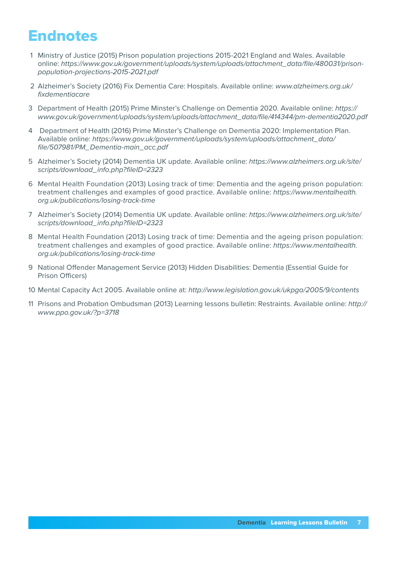# **Endnotes**

- 1 Ministry of Justice (2015) Prison population projections 2015-2021 England and Wales. Available online: *[https://www.gov.uk/government/uploads/system/uploads/attachment\\_data/file/480031/prison](https://www.gov.uk/government/uploads/system/uploads/attachment_data/file/480031/prison-population-projections-2015-2021.pdf)[population-projections-2015-2021.pdf](https://www.gov.uk/government/uploads/system/uploads/attachment_data/file/480031/prison-population-projections-2015-2021.pdf)*
- 2 Alzheimer's Society (2016) Fix Dementia Care: Hospitals. Available online: *[www.alzheimers.org.uk/](www.alzheimers.org.uk/fixdementiacare) [fixdementiacare](www.alzheimers.org.uk/fixdementiacare)*
- 3 Department of Health (2015) Prime Minster's Challenge on Dementia 2020. Available online: *[https://](https://www.gov.uk/government/uploads/system/uploads/attachment_data/file/414344/pm-dementia2020.pdf) [www.gov.uk/government/uploads/system/uploads/attachment\\_data/file/414344/pm-dementia2020.pdf](https://www.gov.uk/government/uploads/system/uploads/attachment_data/file/414344/pm-dementia2020.pdf)*
- 4 Department of Health (2016) Prime Minster's Challenge on Dementia 2020: Implementation Plan. Available online: *[https://www.gov.uk/government/uploads/system/uploads/attachment\\_data/](https://www.gov.uk/government/uploads/system/uploads/attachment_data/file/507981/PM_Dementia-main_acc.pdf) [file/507981/PM\\_Dementia-main\\_acc.pdf](https://www.gov.uk/government/uploads/system/uploads/attachment_data/file/507981/PM_Dementia-main_acc.pdf)*
- 5 Alzheimer's Society (2014) Dementia UK update. Available online: *[https://www.alzheimers.org.uk/site/](https://www.alzheimers.org.uk/site/scripts/download_info.php?fileID=2323) [scripts/download\\_info.php?fileID=2323](https://www.alzheimers.org.uk/site/scripts/download_info.php?fileID=2323)*
- 6 Mental Health Foundation (2013) Losing track of time: Dementia and the ageing prison population: treatment challenges and examples of good practice. Available online: *[https://www.mentalhealth.](https://www.mentalhealth.org.uk/publications/losing-track-time) [org.uk/publications/losing-track-time](https://www.mentalhealth.org.uk/publications/losing-track-time)*
- 7 Alzheimer's Society (2014) Dementia UK update. Available online: *[https://www.alzheimers.org.uk/site/](https://www.alzheimers.org.uk/site/scripts/download_info.php?fileID=2323) [scripts/download\\_info.php?fileID=2323](https://www.alzheimers.org.uk/site/scripts/download_info.php?fileID=2323)*
- 8 Mental Health Foundation (2013) Losing track of time: Dementia and the ageing prison population: treatment challenges and examples of good practice. Available online: *[https://www.mentalhealth.](https://www.mentalhealth.org.uk/publications/losing-track-time) [org.uk/publications/losing-track-time](https://www.mentalhealth.org.uk/publications/losing-track-time)*
- 9 National Offender Management Service (2013) Hidden Disabilities: Dementia (Essential Guide for Prison Officers)
- 10 Mental Capacity Act 2005. Available online at: *<http://www.legislation.gov.uk/ukpga/2005/9/contents>*
- 11 Prisons and Probation Ombudsman (2013) Learning lessons bulletin: Restraints. Available online: *[http://](http://www.ppo.gov.uk/?p=3718) [www.ppo.gov.uk/?p=3718](http://www.ppo.gov.uk/?p=3718)*